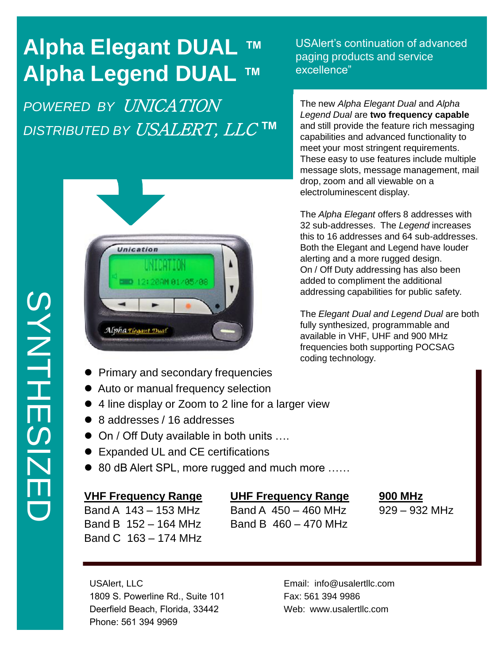# **Alpha Elegant DUAL ™ Alpha Legend DUAL ™**

*POWERED BY* UNICATION *DISTRIBUTED BY* USALERT, LLC **™**



- Primary and secondary frequencies
- Auto or manual frequency selection
- 4 line display or Zoom to 2 line for a larger view
- 8 addresses / 16 addresses
- On / Off Duty available in both units ....
- Expanded UL and CE certifications
- 80 dB Alert SPL, more rugged and much more ……

### **VHF Frequency Range UHF Frequency Range 900 MHz**

Band A 143 – 153 MHz Band A 450 – 460 MHz 929 – 932 MHz Band B  $152 - 164$  MHz Band B  $460 - 470$  MHz Band C 163 – 174 MHz

USAlert, LLC 1809 S. Powerline Rd., Suite 101 Deerfield Beach, Florida, 33442 Phone: 561 394 9969

Email: info@usalertllc.com Fax: 561 394 9986 Web: www.usalertllc.com

USAlert's continuation of advanced paging products and service excellence"

The new *Alpha Elegant Dual* and *Alpha Legend Dual* are **two frequency capable** and still provide the feature rich messaging capabilities and advanced functionality to meet your most stringent requirements. These easy to use features include multiple message slots, message management, mail drop, zoom and all viewable on a electroluminescent display.

The *Alpha Elegant* offers 8 addresses with 32 sub-addresses. The *Legend* increases this to 16 addresses and 64 sub-addresses. Both the Elegant and Legend have louder alerting and a more rugged design. On / Off Duty addressing has also been added to compliment the additional addressing capabilities for public safety.

The *Elegant Dual and Legend Dual* are both fully synthesized, programmable and available in VHF, UHF and 900 MHz frequencies both supporting POCSAG coding technology.

**SYNTHESIZE** SYNTHESIZED